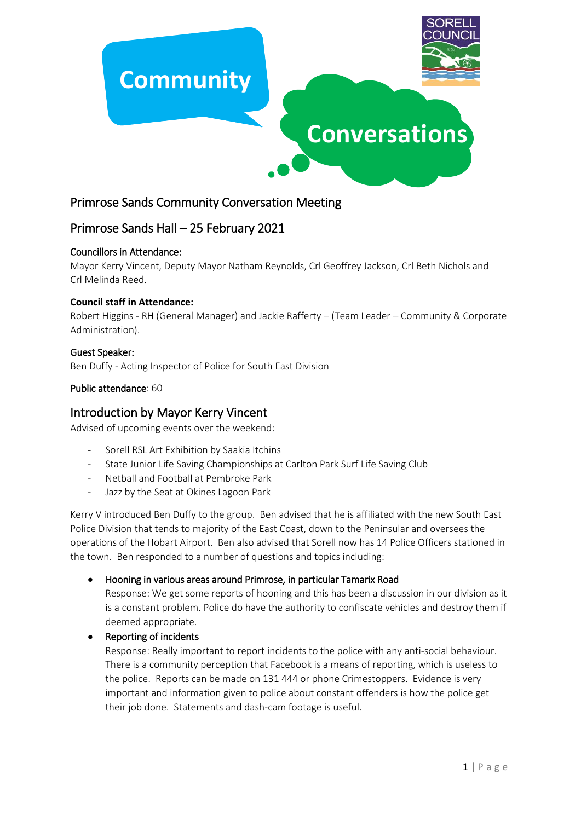

# Primrose Sands Community Conversation Meeting

# Primrose Sands Hall – 25 February 2021

#### Councillors in Attendance:

Mayor Kerry Vincent, Deputy Mayor Natham Reynolds, Crl Geoffrey Jackson, Crl Beth Nichols and Crl Melinda Reed.

#### **Council staff in Attendance:**

Robert Higgins - RH (General Manager) and Jackie Rafferty – (Team Leader – Community & Corporate Administration).

#### Guest Speaker:

Ben Duffy - Acting Inspector of Police for South East Division

#### Public attendance: 60

# Introduction by Mayor Kerry Vincent

Advised of upcoming events over the weekend:

- Sorell RSL Art Exhibition by Saakia Itchins
- State Junior Life Saving Championships at Carlton Park Surf Life Saving Club
- Netball and Football at Pembroke Park
- Jazz by the Seat at Okines Lagoon Park

Kerry V introduced Ben Duffy to the group. Ben advised that he is affiliated with the new South East Police Division that tends to majority of the East Coast, down to the Peninsular and oversees the operations of the Hobart Airport. Ben also advised that Sorell now has 14 Police Officers stationed in the town. Ben responded to a number of questions and topics including:

#### Hooning in various areas around Primrose, in particular Tamarix Road

Response: We get some reports of hooning and this has been a discussion in our division as it is a constant problem. Police do have the authority to confiscate vehicles and destroy them if deemed appropriate.

#### • Reporting of incidents

Response: Really important to report incidents to the police with any anti-social behaviour. There is a community perception that Facebook is a means of reporting, which is useless to the police. Reports can be made on 131 444 or phone Crimestoppers. Evidence is very important and information given to police about constant offenders is how the police get their job done. Statements and dash-cam footage is useful.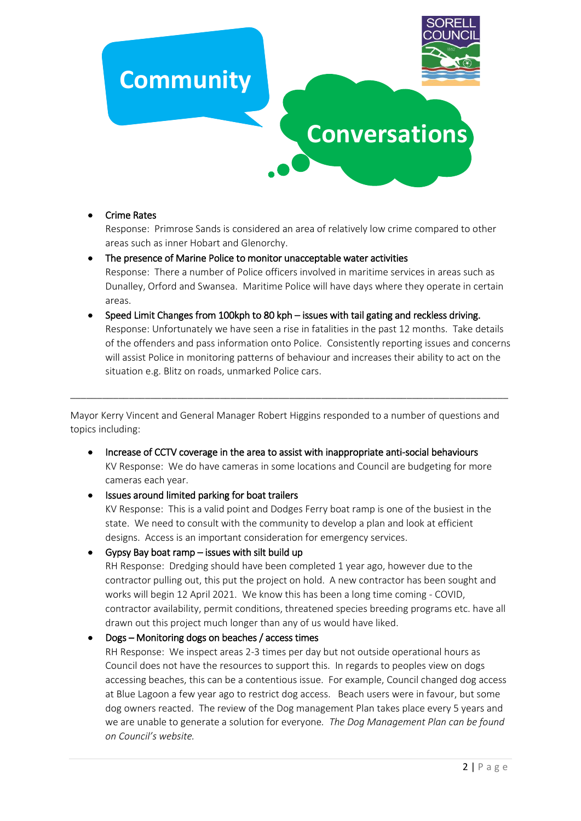

#### • Crime Rates

Response: Primrose Sands is considered an area of relatively low crime compared to other areas such as inner Hobart and Glenorchy.

- The presence of Marine Police to monitor unacceptable water activities Response: There a number of Police officers involved in maritime services in areas such as Dunalley, Orford and Swansea. Maritime Police will have days where they operate in certain areas.
- Speed Limit Changes from 100kph to 80 kph issues with tail gating and reckless driving. Response: Unfortunately we have seen a rise in fatalities in the past 12 months. Take details of the offenders and pass information onto Police. Consistently reporting issues and concerns will assist Police in monitoring patterns of behaviour and increases their ability to act on the situation e.g. Blitz on roads, unmarked Police cars.

Mayor Kerry Vincent and General Manager Robert Higgins responded to a number of questions and topics including:

\_\_\_\_\_\_\_\_\_\_\_\_\_\_\_\_\_\_\_\_\_\_\_\_\_\_\_\_\_\_\_\_\_\_\_\_\_\_\_\_\_\_\_\_\_\_\_\_\_\_\_\_\_\_\_\_\_\_\_\_\_\_\_\_\_\_\_\_\_\_\_\_\_\_\_\_\_\_\_\_\_\_

- Increase of CCTV coverage in the area to assist with inappropriate anti-social behaviours KV Response: We do have cameras in some locations and Council are budgeting for more cameras each year.
- Issues around limited parking for boat trailers

KV Response: This is a valid point and Dodges Ferry boat ramp is one of the busiest in the state. We need to consult with the community to develop a plan and look at efficient designs. Access is an important consideration for emergency services.

Gypsy Bay boat ramp – issues with silt build up

RH Response: Dredging should have been completed 1 year ago, however due to the contractor pulling out, this put the project on hold. A new contractor has been sought and works will begin 12 April 2021. We know this has been a long time coming - COVID, contractor availability, permit conditions, threatened species breeding programs etc. have all drawn out this project much longer than any of us would have liked.

## Dogs – Monitoring dogs on beaches / access times

RH Response: We inspect areas 2-3 times per day but not outside operational hours as Council does not have the resources to support this. In regards to peoples view on dogs accessing beaches, this can be a contentious issue. For example, Council changed dog access at Blue Lagoon a few year ago to restrict dog access. Beach users were in favour, but some dog owners reacted. The review of the Dog management Plan takes place every 5 years and we are unable to generate a solution for everyone*. The Dog Management Plan can be found on Council's website.*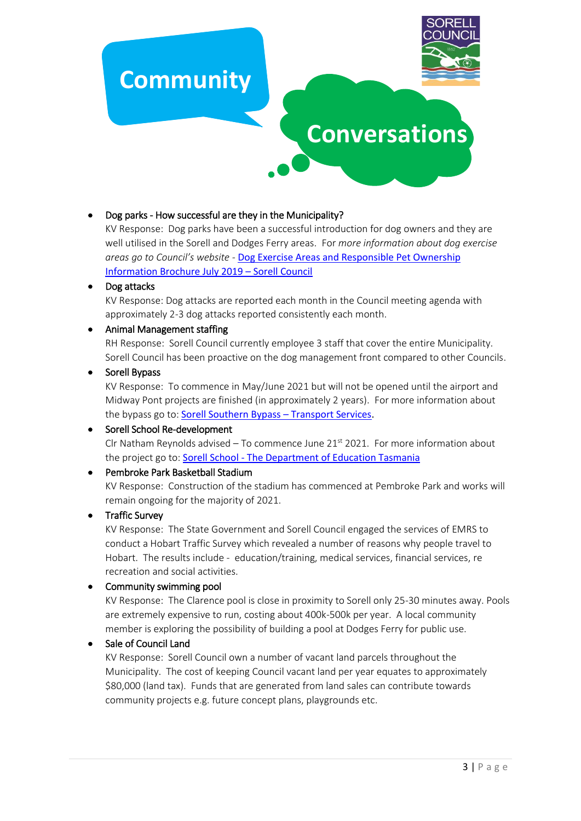

## Dog parks - How successful are they in the Municipality?

KV Response: Dog parks have been a successful introduction for dog owners and they are well utilised in the Sorell and Dodges Ferry areas. For *more information about dog exercise areas go to Council's website -* [Dog Exercise Areas and Responsible](https://www.sorell.tas.gov.au/wpfb-file/dog-exercise-areas-brochure-july-2019-pdf/) Pet Ownership [Information Brochure July 2019](https://www.sorell.tas.gov.au/wpfb-file/dog-exercise-areas-brochure-july-2019-pdf/) – Sorell Council

#### • Dog attacks

KV Response: Dog attacks are reported each month in the Council meeting agenda with approximately 2-3 dog attacks reported consistently each month.

#### Animal Management staffing

RH Response: Sorell Council currently employee 3 staff that cover the entire Municipality. Sorell Council has been proactive on the dog management front compared to other Councils.

#### • Sorell Bypass

KV Response: To commence in May/June 2021 but will not be opened until the airport and Midway Pont projects are finished (in approximately 2 years). For more information about the bypass go to: **[Sorell Southern Bypass](https://www.transport.tas.gov.au/projectsplanning/road_projects/south_road_projects/south_east_traffic_solution/sorell_southern_bypass) - Transport Services**.

## • Sorell School Re-development

Clr Natham Reynolds advised – To commence June  $21<sup>st</sup> 2021$ . For more information about the project go to: Sorell School - [The Department of Education Tasmania](https://www.education.tas.gov.au/project/sorell-school/)

#### Pembroke Park Basketball Stadium

KV Response: Construction of the stadium has commenced at Pembroke Park and works will remain ongoing for the majority of 2021.

#### • Traffic Survey

KV Response: The State Government and Sorell Council engaged the services of EMRS to conduct a Hobart Traffic Survey which revealed a number of reasons why people travel to Hobart. The results include - education/training, medical services, financial services, re recreation and social activities.

#### • Community swimming pool

KV Response: The Clarence pool is close in proximity to Sorell only 25-30 minutes away. Pools are extremely expensive to run, costing about 400k-500k per year. A local community member is exploring the possibility of building a pool at Dodges Ferry for public use.

#### Sale of Council Land

KV Response: Sorell Council own a number of vacant land parcels throughout the Municipality. The cost of keeping Council vacant land per year equates to approximately \$80,000 (land tax). Funds that are generated from land sales can contribute towards community projects e.g. future concept plans, playgrounds etc.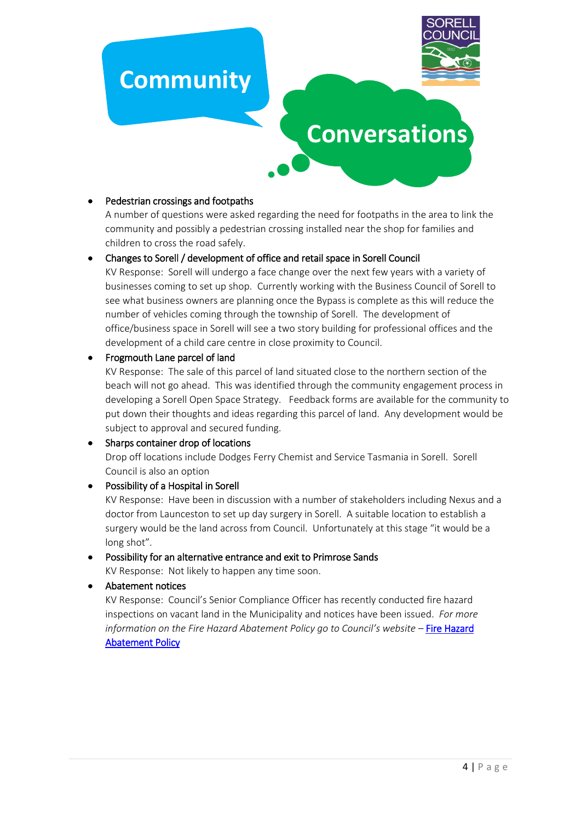

# **Conversations**

## Pedestrian crossings and footpaths

A number of questions were asked regarding the need for footpaths in the area to link the community and possibly a pedestrian crossing installed near the shop for families and children to cross the road safely.

#### Changes to Sorell / development of office and retail space in Sorell Council

KV Response: Sorell will undergo a face change over the next few years with a variety of businesses coming to set up shop. Currently working with the Business Council of Sorell to see what business owners are planning once the Bypass is complete as this will reduce the number of vehicles coming through the township of Sorell. The development of office/business space in Sorell will see a two story building for professional offices and the development of a child care centre in close proximity to Council.

#### • Frogmouth Lane parcel of land

KV Response: The sale of this parcel of land situated close to the northern section of the beach will not go ahead. This was identified through the community engagement process in developing a Sorell Open Space Strategy. Feedback forms are available for the community to put down their thoughts and ideas regarding this parcel of land. Any development would be subject to approval and secured funding.

#### • Sharps container drop of locations

Drop off locations include Dodges Ferry Chemist and Service Tasmania in Sorell. Sorell Council is also an option

# Possibility of a Hospital in Sorell KV Response: Have been in discussion with a number of stakeholders including Nexus and a doctor from Launceston to set up day surgery in Sorell. A suitable location to establish a surgery would be the land across from Council. Unfortunately at this stage "it would be a long shot".

# Possibility for an alternative entrance and exit to Primrose Sands

KV Response: Not likely to happen any time soon.

Abatement notices

KV Response: Council's Senior Compliance Officer has recently conducted fire hazard inspections on vacant land in the Municipality and notices have been issued. *For more information on the Fire Hazard Abatement Policy go to Council's website –* [Fire Hazard](https://www.sorell.tas.gov.au/download/policies/Fire-Hazard-Abatement-Policy.pdf)  [Abatement Policy](https://www.sorell.tas.gov.au/download/policies/Fire-Hazard-Abatement-Policy.pdf)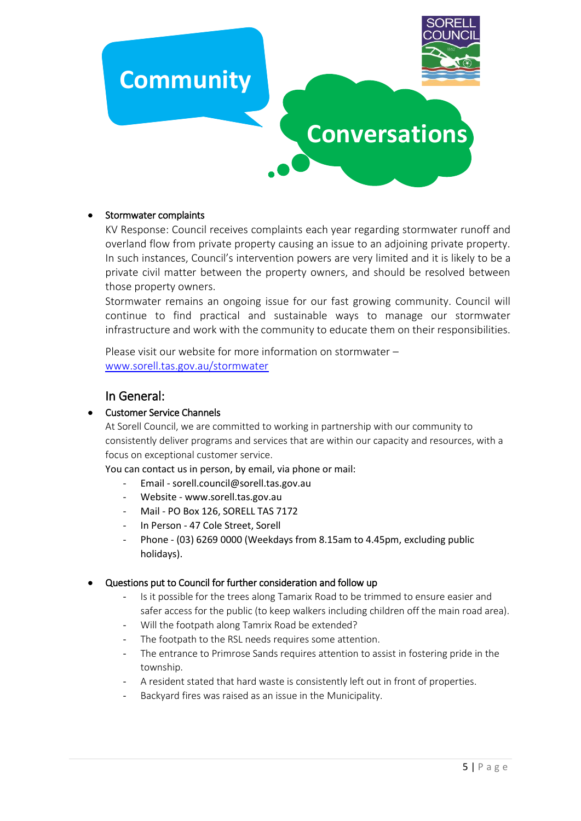

#### Stormwater complaints

KV Response: Council receives complaints each year regarding stormwater runoff and overland flow from private property causing an issue to an adjoining private property. In such instances, Council's intervention powers are very limited and it is likely to be a private civil matter between the property owners, and should be resolved between those property owners.

Stormwater remains an ongoing issue for our fast growing community. Council will continue to find practical and sustainable ways to manage our stormwater infrastructure and work with the community to educate them on their responsibilities.

Please visit our website for more information on stormwater – [www.sorell.tas.gov.au/stormwater](http://www.sorell.tas.gov.au/stormwater)

# In General:

#### • Customer Service Channels

At Sorell Council, we are committed to working in partnership with our community to consistently deliver programs and services that are within our capacity and resources, with a focus on exceptional customer service.

You can contact us in person, by email, via phone or mail:

- Email sorell.council@sorell.tas.gov.au
- Website www.sorell.tas.gov.au
- Mail PO Box 126, SORELL TAS 7172
- In Person 47 Cole Street, Sorell
- Phone (03) 6269 0000 (Weekdays from 8.15am to 4.45pm, excluding public holidays).

#### Questions put to Council for further consideration and follow up

- Is it possible for the trees along Tamarix Road to be trimmed to ensure easier and safer access for the public (to keep walkers including children off the main road area).
- Will the footpath along Tamrix Road be extended?
- The footpath to the RSL needs requires some attention.
- The entrance to Primrose Sands requires attention to assist in fostering pride in the township.
- A resident stated that hard waste is consistently left out in front of properties.
- Backyard fires was raised as an issue in the Municipality.